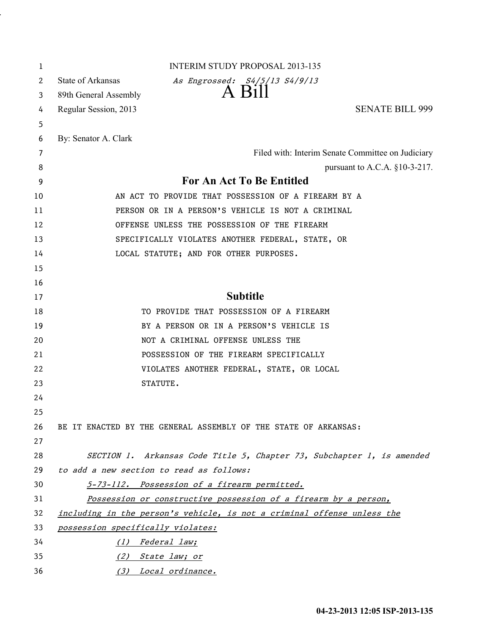| 1                     | <b>INTERIM STUDY PROPOSAL 2013-135</b>                                  |
|-----------------------|-------------------------------------------------------------------------|
| $\mathbf{2}^{\prime}$ | State of Arkansas<br>As Engrossed: S4/5/13 S4/9/13                      |
| 3                     | A Bill<br>89th General Assembly                                         |
| 4                     | <b>SENATE BILL 999</b><br>Regular Session, 2013                         |
| 5                     |                                                                         |
| 6                     | By: Senator A. Clark                                                    |
| 7                     | Filed with: Interim Senate Committee on Judiciary                       |
| 8                     | pursuant to A.C.A. $§10-3-217$ .                                        |
| 9                     | For An Act To Be Entitled                                               |
| 10                    | AN ACT TO PROVIDE THAT POSSESSION OF A FIREARM BY A                     |
| 11                    | PERSON OR IN A PERSON'S VEHICLE IS NOT A CRIMINAL                       |
| 12                    | OFFENSE UNLESS THE POSSESSION OF THE FIREARM                            |
| 13                    | SPECIFICALLY VIOLATES ANOTHER FEDERAL, STATE, OR                        |
| 14                    | LOCAL STATUTE; AND FOR OTHER PURPOSES.                                  |
| 15                    |                                                                         |
| 16                    |                                                                         |
| 17                    | <b>Subtitle</b>                                                         |
| 18                    | TO PROVIDE THAT POSSESSION OF A FIREARM                                 |
| 19                    | BY A PERSON OR IN A PERSON'S VEHICLE IS                                 |
| 20                    | NOT A CRIMINAL OFFENSE UNLESS THE                                       |
| 21                    | POSSESSION OF THE FIREARM SPECIFICALLY                                  |
| 22                    | VIOLATES ANOTHER FEDERAL, STATE, OR LOCAL                               |
| 23                    | STATUTE.                                                                |
| 24                    |                                                                         |
| 25                    |                                                                         |
| 26                    | BE IT ENACTED BY THE GENERAL ASSEMBLY OF THE STATE OF ARKANSAS:         |
| 27                    |                                                                         |
| 28                    | SECTION 1. Arkansas Code Title 5, Chapter 73, Subchapter 1, is amended  |
| 29                    | to add a new section to read as follows:                                |
| 30                    | 5-73-112. Possession of a firearm permitted.                            |
| 31                    | Possession or constructive possession of a firearm by a person,         |
| 32                    | including in the person's vehicle, is not a criminal offense unless the |
| 33                    | possession specifically violates:                                       |
| 34                    | (1) Federal law;                                                        |
| 35                    | (2) State law; or                                                       |
| 36                    | (3) Local ordinance.                                                    |

.